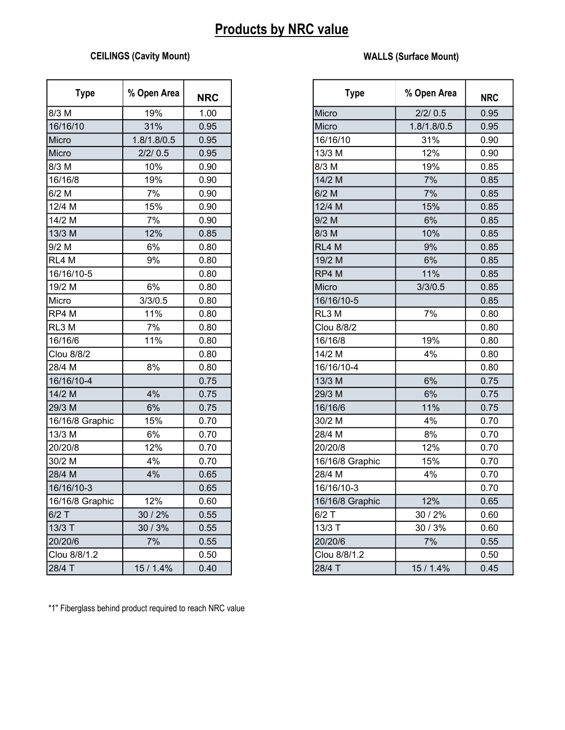## Products by NRC value

## CEILINGS (Cavity Mount) WALLS (Surface Mount)

| <b>Type</b>     | % Open Area | <b>NRC</b> | <b>Type</b>     | % Open Area | <b>NRC</b> |
|-----------------|-------------|------------|-----------------|-------------|------------|
| 8/3 M           | 19%         | 1.00       | Micro           | 2/2/0.5     | 0.95       |
| 16/16/10        | 31%         | 0.95       | Micro           | 1.8/1.8/0.5 | 0.95       |
| Micro           | 1.8/1.8/0.5 | 0.95       | 16/16/10        | 31%         | 0.90       |
| Micro           | 2/2/0.5     | 0.95       | 13/3 M          | 12%         | 0.90       |
| 8/3 M           | 10%         | 0.90       | 8/3 M           | 19%         | 0.85       |
| 16/16/8         | 19%         | 0.90       | 14/2 M          | 7%          | 0.85       |
| $6/2$ M         | 7%          | 0.90       | $6/2$ M         | 7%          | 0.85       |
| 12/4 M          | 15%         | 0.90       | 12/4 M          | 15%         | 0.85       |
| 14/2 M          | 7%          | 0.90       | 9/2 M           | 6%          | 0.85       |
| 13/3 M          | 12%         | 0.85       | 8/3 M           | 10%         | 0.85       |
| $9/2$ M         | 6%          | 0.80       | RL4 M           | 9%          | 0.85       |
| RL4 M           | 9%          | 0.80       | 19/2 M          | 6%          | 0.85       |
| 16/16/10-5      |             | 0.80       | RP4 M           | 11%         | 0.85       |
| 19/2 M          | 6%          | 0.80       | Micro           | 3/3/0.5     | 0.85       |
| Micro           | 3/3/0.5     | 0.80       | 16/16/10-5      |             | 0.85       |
| RP4 M           | 11%         | 0.80       | RL3 M           | 7%          | 0.80       |
| RL3 M           | 7%          | 0.80       | Clou 8/8/2      |             | 0.80       |
| 16/16/6         | 11%         | 0.80       | 16/16/8         | 19%         | 0.80       |
| Clou 8/8/2      |             | 0.80       | 14/2 M          | 4%          | 0.80       |
| 28/4 M          | 8%          | 0.80       | 16/16/10-4      |             | 0.80       |
| 16/16/10-4      |             | 0.75       | 13/3 M          | 6%          | 0.75       |
| 14/2 M          | 4%          | 0.75       | 29/3 M          | 6%          | 0.75       |
| 29/3 M          | 6%          | 0.75       | 16/16/6         | 11%         | 0.75       |
| 16/16/8 Graphic | 15%         | 0.70       | 30/2 M          | 4%          | 0.70       |
| 13/3 M          | 6%          | 0.70       | 28/4 M          | 8%          | 0.70       |
| 20/20/8         | 12%         | 0.70       | 20/20/8         | 12%         | 0.70       |
| 30/2 M          | 4%          | 0.70       | 16/16/8 Graphic | 15%         | 0.70       |
| 28/4 M          | 4%          | 0.65       | 28/4 M          | 4%          | 0.70       |
| 16/16/10-3      |             | 0.65       | 16/16/10-3      |             | 0.70       |
| 16/16/8 Graphic | 12%         | 0.60       | 16/16/8 Graphic | 12%         | 0.65       |
| $6/2$ T         | 30 / 2%     | 0.55       | $6/2$ T         | 30 / 2%     | 0.60       |
| 13/3 T          | 30/3%       | 0.55       | 13/3 T          | 30 / 3%     | 0.60       |
| 20/20/6         | 7%          | 0.55       | 20/20/6         | 7%          | 0.55       |
| Clou 8/8/1.2    |             | 0.50       | Clou 8/8/1.2    |             | 0.50       |
| 28/4 T          | 15 / 1.4%   | 0.40       | 28/4 T          | 15 / 1.4%   | 0.45       |

| <b>Type</b>     | % Open Area | <b>NRC</b> | <b>Type</b>     | % Open Area | <b>NRC</b> |
|-----------------|-------------|------------|-----------------|-------------|------------|
| 8/3 M           | 19%         | 1.00       | Micro           | 2/2/0.5     | 0.95       |
| 16/16/10        | 31%         | 0.95       | Micro           | 1.8/1.8/0.5 | 0.95       |
| Micro           | 1.8/1.8/0.5 | 0.95       | 16/16/10        | 31%         | 0.90       |
| Micro           | 2/2/0.5     | 0.95       | 13/3 M          | 12%         | 0.90       |
| 8/3 M           | 10%         | 0.90       | 8/3 M           | 19%         | 0.85       |
| 16/16/8         | 19%         | 0.90       | 14/2 M          | 7%          | 0.85       |
| $6/2$ M         | 7%          | 0.90       | $6/2$ M         | 7%          | 0.85       |
| 12/4 M          | 15%         | 0.90       | 12/4 M          | 15%         | 0.85       |
| 14/2 M          | 7%          | 0.90       | 9/2 M           | 6%          | 0.85       |
| 13/3 M          | 12%         | 0.85       | 8/3 M           | 10%         | 0.85       |
| $9/2$ M         | 6%          | 0.80       | RL4 M           | 9%          | 0.85       |
| RL4 M           | 9%          | 0.80       | 19/2 M          | 6%          | 0.85       |
| 16/16/10-5      |             | 0.80       | RP4 M           | 11%         | 0.85       |
| 19/2 M          | 6%          | 0.80       | Micro           | 3/3/0.5     | 0.85       |
| Micro           | 3/3/0.5     | 0.80       | 16/16/10-5      |             | 0.85       |
| RP4 M           | 11%         | 0.80       | RL3 M           | 7%          | 0.80       |
| RL3 M           | 7%          | 0.80       | Clou 8/8/2      |             | 0.80       |
| 16/16/6         | 11%         | 0.80       | 16/16/8         | 19%         | 0.80       |
| Clou 8/8/2      |             | 0.80       | 14/2 M          | 4%          | 0.80       |
| 28/4 M          | 8%          | 0.80       | 16/16/10-4      |             | 0.80       |
| 16/16/10-4      |             | 0.75       | 13/3 M          | 6%          | 0.75       |
| 14/2 M          | 4%          | 0.75       | 29/3 M          | 6%          | 0.75       |
| 29/3 M          | 6%          | 0.75       | 16/16/6         | 11%         | 0.75       |
| 16/16/8 Graphic | 15%         | 0.70       | 30/2 M          | 4%          | 0.70       |
| 13/3 M          | 6%          | 0.70       | 28/4 M          | 8%          | 0.70       |
| 20/20/8         | 12%         | 0.70       | 20/20/8         | 12%         | 0.70       |
| 30/2 M          | 4%          | 0.70       | 16/16/8 Graphic | 15%         | 0.70       |
| 28/4 M          | 4%          | 0.65       | 28/4 M          | 4%          | 0.70       |
| 16/16/10-3      |             | 0.65       | 16/16/10-3      |             | 0.70       |
| 16/16/8 Graphic | 12%         | 0.60       | 16/16/8 Graphic | 12%         | 0.65       |
| $6/2$ T         | 30 / 2%     | 0.55       | $6/2$ T         | 30 / 2%     | 0.60       |
| 13/3 T          | 30 / 3%     | 0.55       | 13/3 T          | 30 / 3%     | 0.60       |
| 20/20/6         | 7%          | 0.55       | 20/20/6         | 7%          | 0.55       |
| Clou 8/8/1.2    |             | 0.50       | Clou 8/8/1.2    |             | 0.50       |
| 28/4 T          | 15 / 1.4%   | 0.40       | 28/4 T          | 15 / 1.4%   | 0.45       |

\*1" Fiberglass behind product required to reach NRC value